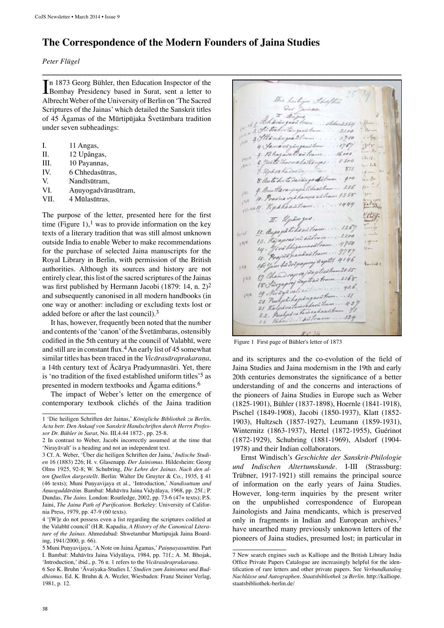## **The Correspondence of the Modern Founders of Jaina Studies**

**\_\_\_\_\_\_\_\_\_\_\_\_\_\_\_\_\_\_\_\_\_\_\_\_\_\_\_\_\_\_\_\_\_\_\_\_\_\_\_\_\_\_\_\_\_\_\_\_\_\_\_\_\_\_\_\_\_\_\_\_\_\_\_\_\_\_\_\_\_\_\_\_\_\_\_\_\_\_\_\_**

*Peter Flügel*

In 1873 Georg Bühler, then Education Inspector of the Bombay Presidency based in Surat, sent a letter to n 1873 Georg Bühler, then Education Inspector of the Albrecht Weber of the University of Berlin on 'The Sacred Scriptures of the Jainas' which detailed the Sanskrit titles of 45 Āgamas of the Mūrtipūjaka Śvetāmbara tradition under seven subheadings:

- I. 11 Angas,
- II. 12 Upângas,
- III. 10 Payannas,
- IV. 6 Chhedasūtras,
- V. Nandīsūtram,
- VI. Aṇuyogadvārasūtram,
- VII. 4 Mūlasūtras.

The purpose of the letter, presented here for the first time (Figure 1),<sup>1</sup> was to provide information on the key texts of a literary tradition that was still almost unknown outside India to enable Weber to make recommendations for the purchase of selected Jaina manuscripts for the Royal Library in Berlin, with permission of the British authorities. Although its sources and history are not entirely clear, this list of the sacred scriptures of the Jainas was first published by Hermann Jacobi (1879: 14, n. 2)2 and subsequently canonised in all modern handbooks (in one way or another: including or excluding texts lost or added before or after the last council).3

It has, however, frequently been noted that the number and contents of the 'canon' of the Śvetāmbaras, ostensibly codified in the 5th century at the council of Valabhī, were and still are in constant flux.<sup>4</sup> An early list of 45 somewhat similar titles has been traced in the *Vicārasāraprakaraṇa*, a 14th century text of Ācārya Pradyumnasūri. Yet, there is 'no tradition of the fixed established uniform titles'5 as presented in modern textbooks and Āgama editions.6

The impact of Weber's letter on the emergence of contemporary textbook clichés of the Jaina tradition

heilija That  $\ddot{\mathscr{L}}$ ,,,,, 2554 Si takatinensh  $2200$  $3750$ with  $.476$ Beating  $16000$ abattanns. 5500  $L.L$  $872$  $10<sup>10</sup>$ Lite Mianga diction 产品 Harangagatchastom ... 256 10. Pravna vya kanna za tram 1358  $101$ www. Kipakaastram ...  $. 1444$  $(1 - 13)$ Eastham .... 1267  $1.1200$  $13.16$  $+1/7$ aliam. 4950 við handað tra  $\mu$ Wagett 4146 **CEA** 426  $.51$ halikopangas lys vatamer adreat  $21$  Ka Lasadram Y. Prechy is va tamines  $22.$  $... 154$ satras Vahn

Figure 1 First page of Bühler's letter of 1873

and its scriptures and the co-evolution of the field of Jaina Studies and Jaina modernism in the 19th and early 20th centuries demonstrates the significance of a better understanding of and the concerns and interactions of the pioneers of Jaina Studies in Europe such as Weber (1825-1901), Bühler (1837-1898), Hoernle (1841-1918), Pischel (1849-1908), Jacobi (1850-1937), Klatt (1852- 1903), Hultzsch (1857-1927), Leumann (1859-1931), Winternitz (1863-1937), Hertel (1872-1955), Guérinot (1872-1929), Schubring (1881-1969), Alsdorf (1904- 1978) and their Indian collaborators.

Ernst Windisch's *Geschichte der Sanskrit-Philologie und Indischen Altertumskunde*. I-III (Strassburg: Trübner, 1917-1921) still remains the principal source of information on the early years of Jaina Studies. However, long-term inquiries by the present writer on the unpublished correspondence of European Jainologists and Jaina mendicants, which is preserved only in fragments in Indian and European archives,<sup>7</sup> have unearthed many previously unknown letters of the pioneers of Jaina studies, presumed lost; in particular in

<sup>1 &#</sup>x27;Die heiligen Schriften der Jainas,' *Königliche Bibliothek zu Berlin, Acta betr. Den Ankauf von Sanskrit Handschriften durch Herrn Professor Dr. Bühler in Surat*, No. III.4.44 1872-, pp. 25-8.

<sup>2</sup> In contrast to Weber, Jacobi incorrectly assumed at the time that 'Nirayāvalī' is a heading and not an independent text.

<sup>3</sup> Cf. A. Weber, 'Über die heiligen Schriften der Jaina,' *Indische Studien* 16 (1883) 226; H. v. Glasenapp. *Der Jainismus*. Hildesheim: Georg Olms 1925, 92-8; W. Schubring, *Die Lehre der Jainas. Nach den alten Quellen dargestellt*. Berlin: Walter De Gruyter & Co., 1935, § 41 (46 texts); Muni Puṇyavijaya et al., 'Introduction,' *Nandisuttaṃ and Aṇuogaddārāiṃ*. Bambaī: Mahāvīra Jaina Vidyālaya, 1968, pp. 25f.; P. Dundas, *The Jains*. London: Routledge, 2002, pp. 73-6 (47+ texts); P.S. Jaini, *The Jaina Path of Purification*. Berkeley: University of California Press, 1979, pp. 47-9 (60 texts).

 <sup>&#</sup>x27;[W]e do not possess even a list regarding the scriptures codified at the Valabhī council' (H.R. Kapadia, *A History of the Canonical Literature of the Jainas*. Ahmedabad: Shwetambar Murtipujak Jaina Boarding, 1941/2000, p. 66).

Muni Puṇyavijaya, 'A Note on Jaina Āgamas,' *Paiṇṇayasuttāiṃ*. Part I. Bambaī: Mahāvīra Jaina Vidyālaya, 1984, pp. 71f.; A. M. Bhojak, 'Introduction,' ibid., p. 76 n. 1 refers to the *Vicārasāraprakaraṇa*.

See K. Bruhn 'Āvaśyaka-Studies I,' *Studien zum Jainismus und Buddhismus*. Ed. K. Bruhn & A. Wezler, Wiesbaden: Franz Steiner Verlag, 1981, p. 12.

<sup>7</sup> New search engines such as Kalliope and the British Library India Office Private Papers Catalogue are increasingly helpful for the identification of rare letters and other private papers. See *Verbundkatalog Nachlässe und Autographen. Staatsbibliothek zu Berlin*. http://kalliope. staatsbibliothek-berlin.de/